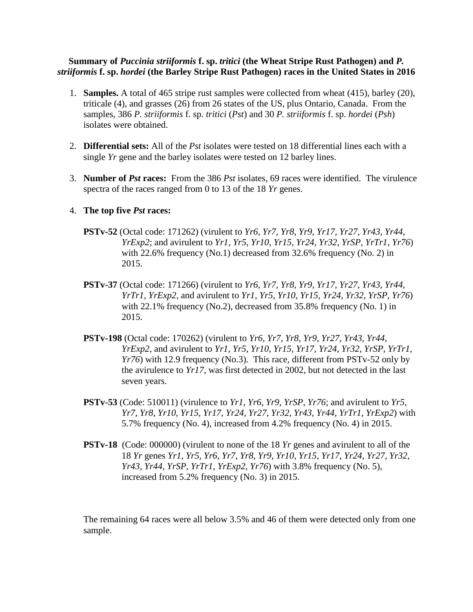## **Summary of** *Puccinia striiformis* **f. sp.** *tritici* **(the Wheat Stripe Rust Pathogen) and** *P. striiformis* **f. sp.** *hordei* **(the Barley Stripe Rust Pathogen) races in the United States in 2016**

- 1. **Samples.** A total of 465 stripe rust samples were collected from wheat (415), barley (20), triticale (4), and grasses (26) from 26 states of the US, plus Ontario, Canada. From the samples, 386 *P. striiformis* f. sp. *tritici* (*Pst*) and 30 *P. striiformis* f. sp. *hordei* (*Psh*) isolates were obtained.
- 2. **Differential sets:** All of the *Pst* isolates were tested on 18 differential lines each with a single *Yr* gene and the barley isolates were tested on 12 barley lines.
- 3. **Number of** *Pst* **races:** From the 386 *Pst* isolates, 69 races were identified. The virulence spectra of the races ranged from 0 to 13 of the 18 *Yr* genes.

## 4. **The top five** *Pst* **races:**

- **PSTv-52** (Octal code: 171262) (virulent to *Yr6*, *Yr7*, *Yr8*, *Yr9*, *Yr17*, *Yr27*, *Yr43*, *Yr44*, *YrExp2*; and avirulent to *Yr1*, *Yr5*, *Yr10*, *Yr15*, *Yr24*, *Yr32*, *YrSP*, *YrTr1*, *Yr76*) with 22.6% frequency (No.1) decreased from 32.6% frequency (No. 2) in 2015.
- **PSTv-37** (Octal code: 171266) (virulent to *Yr6*, *Yr7*, *Yr8*, *Yr9*, *Yr17*, *Yr27*, *Yr43*, *Yr44*, *YrTr1*, *YrExp2*, and avirulent to *Yr1*, *Yr5*, *Yr10*, *Yr15*, *Yr24*, *Yr32*, *YrSP*, *Yr76*) with 22.1% frequency (No.2), decreased from 35.8% frequency (No. 1) in 2015.
- **PSTv-198** (Octal code: 170262) (virulent to *Yr6*, *Yr7*, *Yr8*, *Yr9*, *Yr27*, *Yr43*, *Yr44*, *YrExp2*, and avirulent to *Yr1*, *Yr5*, *Yr10*, *Yr15*, *Yr17*, *Yr24*, *Yr32*, *YrSP*, *YrTr1*, *Yr76*) with 12.9 frequency (No.3). This race, different from PSTv-52 only by the avirulence to *Yr17*, was first detected in 2002, but not detected in the last seven years.
- **PSTv-53** (Code: 510011) (virulence to *Yr1*, *Yr6*, *Yr9*, *YrSP*, *Yr76*; and avirulent to *Yr5*, *Yr7*, *Yr8*, *Yr10*, *Yr15*, *Yr17*, *Yr24*, *Yr27*, *Yr32*, *Yr43*, *Yr44*, *YrTr1*, *YrExp2*) with 5.7% frequency (No. 4), increased from 4.2% frequency (No. 4) in 2015.
- **PSTv-18** (Code: 000000) (virulent to none of the 18 *Yr* genes and avirulent to all of the 18 *Yr* genes *Yr1*, *Yr5*, *Yr6*, *Yr7*, *Yr8*, *Yr9*, *Yr10*, *Yr15*, *Yr17*, *Yr24*, *Yr27*, *Yr32*, *Yr43*, *Yr44*, *YrSP*, *YrTr1*, *YrExp2*, *Yr76*) with 3.8% frequency (No. 5), increased from 5.2% frequency (No. 3) in 2015.

 The remaining 64 races were all below 3.5% and 46 of them were detected only from one sample.